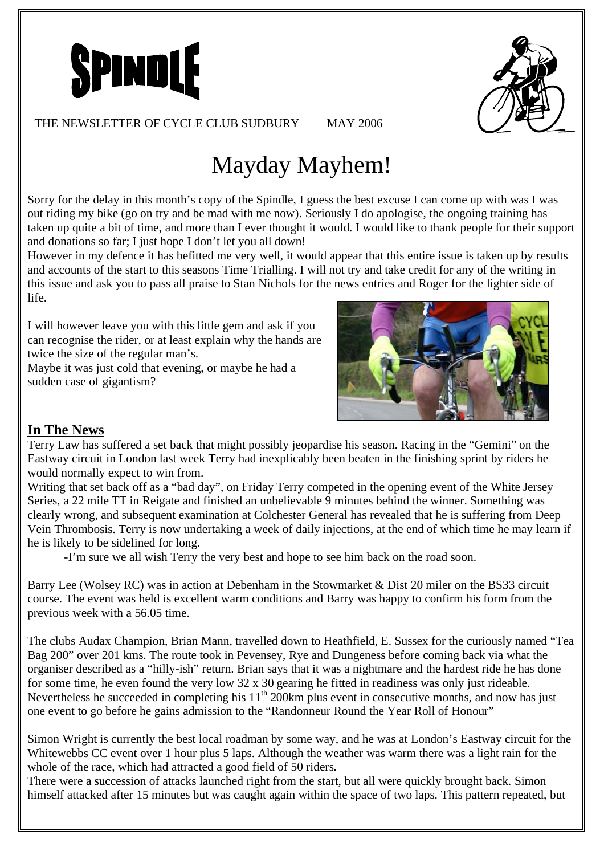



THE NEWSLETTER OF CYCLE CLUB SUDBURY MAY 2006

Mayday Mayhem!

Sorry for the delay in this month's copy of the Spindle, I guess the best excuse I can come up with was I was out riding my bike (go on try and be mad with me now). Seriously I do apologise, the ongoing training has taken up quite a bit of time, and more than I ever thought it would. I would like to thank people for their support and donations so far; I just hope I don't let you all down!

However in my defence it has befitted me very well, it would appear that this entire issue is taken up by results and accounts of the start to this seasons Time Trialling. I will not try and take credit for any of the writing in this issue and ask you to pass all praise to Stan Nichols for the news entries and Roger for the lighter side of life.

I will however leave you with this little gem and ask if you can recognise the rider, or at least explain why the hands are twice the size of the regular man's.

Maybe it was just cold that evening, or maybe he had a sudden case of gigantism?



# **In The News**

Terry Law has suffered a set back that might possibly jeopardise his season. Racing in the "Gemini" on the Eastway circuit in London last week Terry had inexplicably been beaten in the finishing sprint by riders he would normally expect to win from.

Writing that set back off as a "bad day", on Friday Terry competed in the opening event of the White Jersey Series, a 22 mile TT in Reigate and finished an unbelievable 9 minutes behind the winner. Something was clearly wrong, and subsequent examination at Colchester General has revealed that he is suffering from Deep Vein Thrombosis. Terry is now undertaking a week of daily injections, at the end of which time he may learn if he is likely to be sidelined for long.

-I'm sure we all wish Terry the very best and hope to see him back on the road soon.

Barry Lee (Wolsey RC) was in action at Debenham in the Stowmarket & Dist 20 miler on the BS33 circuit course. The event was held is excellent warm conditions and Barry was happy to confirm his form from the previous week with a 56.05 time.

The clubs Audax Champion, Brian Mann, travelled down to Heathfield, E. Sussex for the curiously named "Tea Bag 200" over 201 kms. The route took in Pevensey, Rye and Dungeness before coming back via what the organiser described as a "hilly-ish" return. Brian says that it was a nightmare and the hardest ride he has done for some time, he even found the very low 32 x 30 gearing he fitted in readiness was only just rideable. Nevertheless he succeeded in completing his  $11^{th}$  200km plus event in consecutive months, and now has just one event to go before he gains admission to the "Randonneur Round the Year Roll of Honour"

Simon Wright is currently the best local roadman by some way, and he was at London's Eastway circuit for the Whitewebbs CC event over 1 hour plus 5 laps. Although the weather was warm there was a light rain for the whole of the race, which had attracted a good field of 50 riders.

There were a succession of attacks launched right from the start, but all were quickly brought back. Simon himself attacked after 15 minutes but was caught again within the space of two laps. This pattern repeated, but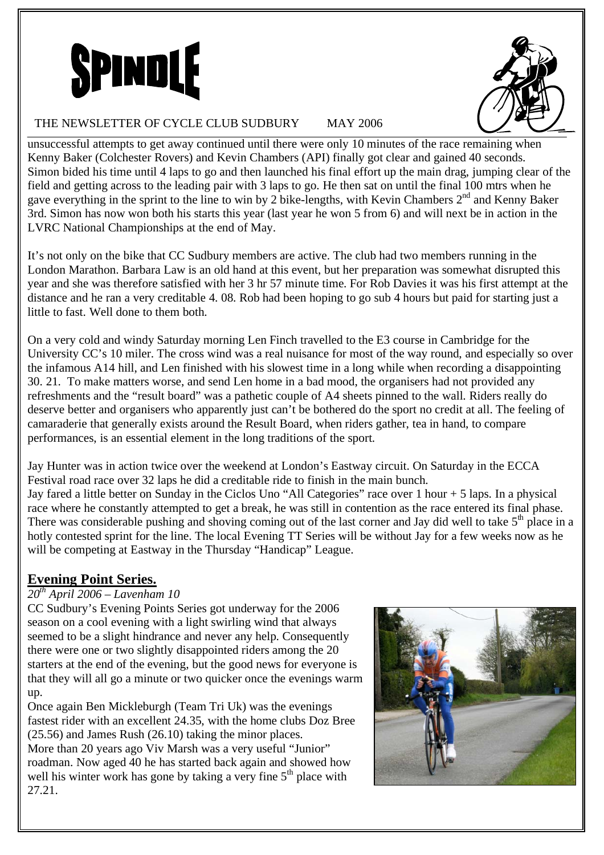



### THE NEWSLETTER OF CYCLE CLUB SUDBURY MAY 2006

unsuccessful attempts to get away continued until there were only 10 minutes of the race remaining when Kenny Baker (Colchester Rovers) and Kevin Chambers (API) finally got clear and gained 40 seconds. Simon bided his time until 4 laps to go and then launched his final effort up the main drag, jumping clear of the field and getting across to the leading pair with 3 laps to go. He then sat on until the final 100 mtrs when he gave everything in the sprint to the line to win by 2 bike-lengths, with Kevin Chambers 2nd and Kenny Baker 3rd. Simon has now won both his starts this year (last year he won 5 from 6) and will next be in action in the LVRC National Championships at the end of May.

It's not only on the bike that CC Sudbury members are active. The club had two members running in the London Marathon. Barbara Law is an old hand at this event, but her preparation was somewhat disrupted this year and she was therefore satisfied with her 3 hr 57 minute time. For Rob Davies it was his first attempt at the distance and he ran a very creditable 4. 08. Rob had been hoping to go sub 4 hours but paid for starting just a little to fast. Well done to them both.

On a very cold and windy Saturday morning Len Finch travelled to the E3 course in Cambridge for the University CC's 10 miler. The cross wind was a real nuisance for most of the way round, and especially so over the infamous A14 hill, and Len finished with his slowest time in a long while when recording a disappointing 30. 21. To make matters worse, and send Len home in a bad mood, the organisers had not provided any refreshments and the "result board" was a pathetic couple of A4 sheets pinned to the wall. Riders really do deserve better and organisers who apparently just can't be bothered do the sport no credit at all. The feeling of camaraderie that generally exists around the Result Board, when riders gather, tea in hand, to compare performances, is an essential element in the long traditions of the sport.

Jay Hunter was in action twice over the weekend at London's Eastway circuit. On Saturday in the ECCA Festival road race over 32 laps he did a creditable ride to finish in the main bunch. Jay fared a little better on Sunday in the Ciclos Uno "All Categories" race over 1 hour + 5 laps. In a physical race where he constantly attempted to get a break, he was still in contention as the race entered its final phase. There was considerable pushing and shoving coming out of the last corner and Jay did well to take  $5<sup>th</sup>$  place in a hotly contested sprint for the line. The local Evening TT Series will be without Jay for a few weeks now as he will be competing at Eastway in the Thursday "Handicap" League.

# **Evening Point Series.**

# *20th April 2006 – Lavenham 10*

CC Sudbury's Evening Points Series got underway for the 2006 season on a cool evening with a light swirling wind that always seemed to be a slight hindrance and never any help. Consequently there were one or two slightly disappointed riders among the 20 starters at the end of the evening, but the good news for everyone is that they will all go a minute or two quicker once the evenings warm up.

Once again Ben Mickleburgh (Team Tri Uk) was the evenings fastest rider with an excellent 24.35, with the home clubs Doz Bree (25.56) and James Rush (26.10) taking the minor places. More than 20 years ago Viv Marsh was a very useful "Junior" roadman. Now aged 40 he has started back again and showed how well his winter work has gone by taking a very fine  $5<sup>th</sup>$  place with 27.21.

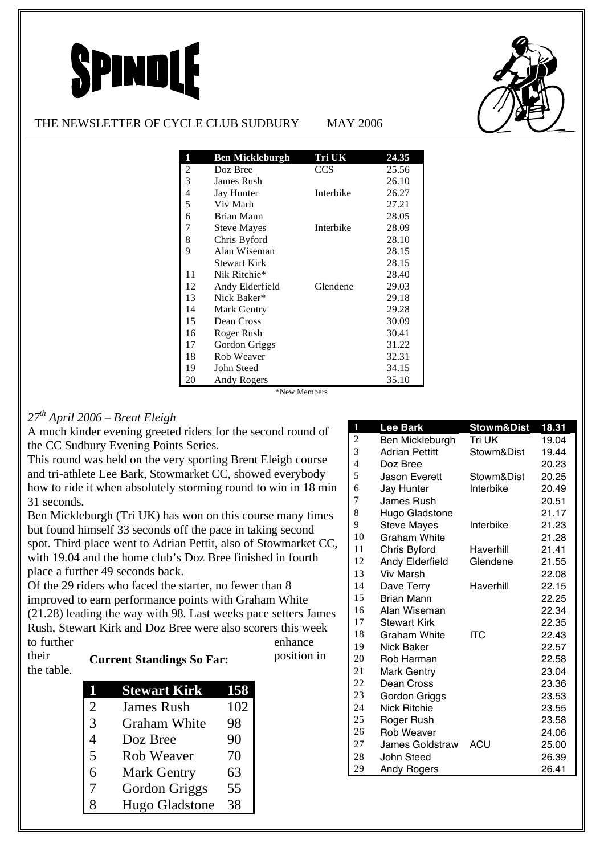# SPINDLE



### THE NEWSLETTER OF CYCLE CLUB SUDBURY MAY 2006

| 1  | <b>Ben Mickleburgh</b> | Tri UK    | 24.35 |
|----|------------------------|-----------|-------|
| 2  | Doz Bree               | CCS       | 25.56 |
| 3  | James Rush             |           | 26.10 |
| 4  | <b>Jay Hunter</b>      | Interbike | 26.27 |
| 5  | Viv Marh               |           | 27.21 |
| 6  | Brian Mann             |           | 28.05 |
| 7  | <b>Steve Mayes</b>     | Interbike | 28.09 |
| 8  | Chris Byford           |           | 28.10 |
| 9  | Alan Wiseman           |           | 28.15 |
|    | Stewart Kirk           |           | 28.15 |
| 11 | Nik Ritchie*           |           | 28.40 |
| 12 | Andy Elderfield        | Glendene  | 29.03 |
| 13 | Nick Baker*            |           | 29.18 |
| 14 | <b>Mark Gentry</b>     |           | 29.28 |
| 15 | Dean Cross             |           | 30.09 |
| 16 | Roger Rush             |           | 30.41 |
| 17 | Gordon Griggs          |           | 31.22 |
| 18 | Rob Weaver             |           | 32.31 |
| 19 | John Steed             |           | 34.15 |
| 20 | Andy Rogers            |           | 35.10 |

\*New Members

## *27th April 2006 – Brent Eleigh*

A much kinder evening greeted riders for the second round of the CC Sudbury Evening Points Series.

This round was held on the very sporting Brent Eleigh course and tri-athlete Lee Bark, Stowmarket CC, showed everybody how to ride it when absolutely storming round to win in 18 min 31 seconds.

Ben Mickleburgh (Tri UK) has won on this course many times but found himself 33 seconds off the pace in taking second spot. Third place went to Adrian Pettit, also of Stowmarket CC, with 19.04 and the home club's Doz Bree finished in fourth place a further 49 seconds back.

Of the 29 riders who faced the starter, no fewer than 8 improved to earn performance points with Graham White (21.28) leading the way with 98. Last weeks pace setters James Rush, Stewart Kirk and Doz Bree were also scorers this week to further enhance

### **Current Standings So Far:** Position in the table.

|                | <b>Stewart Kirk</b> | 158 |
|----------------|---------------------|-----|
| $\overline{2}$ | <b>James Rush</b>   | 102 |
| 3              | <b>Graham White</b> | 98  |
| 4              | Doz Bree            | 90  |
| 5              | <b>Rob Weaver</b>   | 70  |
| 6              | <b>Mark Gentry</b>  | 63  |
| 7              | Gordon Griggs       | 55  |
| 8              | Hugo Gladstone      | 38  |

| 1              | <b>Lee Bark</b>        | <b>Stowm&amp;Dist</b> | 18.31 |
|----------------|------------------------|-----------------------|-------|
| $\overline{c}$ | Ben Mickleburgh        | Tri UK                | 19.04 |
| 3              | <b>Adrian Pettitt</b>  | Stowm&Dist            | 19.44 |
| $\overline{4}$ | Doz Bree               |                       | 20.23 |
| 5              | Jason Everett          | Stowm&Dist            | 20.25 |
| 6              | Jay Hunter             | Interbike             | 20.49 |
| 7              | <b>James Rush</b>      |                       | 20.51 |
| 8              | Hugo Gladstone         |                       | 21.17 |
| 9              | <b>Steve Mayes</b>     | Interbike             | 21.23 |
| 10             | Graham White           |                       | 21.28 |
| 11             | Chris Byford           | Haverhill             | 21.41 |
| 12             | Andy Elderfield        | Glendene              | 21.55 |
| 13             | <b>Viv Marsh</b>       |                       | 22.08 |
| 14             | Dave Terry             | Haverhill             | 22.15 |
| 15             | <b>Brian Mann</b>      |                       | 22.25 |
| 16             | Alan Wiseman           |                       | 22.34 |
| 17             | <b>Stewart Kirk</b>    |                       | 22.35 |
| 18             | Graham White           | ITC                   | 22.43 |
| 19             | Nick Baker             |                       | 22.57 |
| 20             | Rob Harman             |                       | 22.58 |
| 21             | <b>Mark Gentry</b>     |                       | 23.04 |
| 22             | Dean Cross             |                       | 23.36 |
| 23             | Gordon Griggs          |                       | 23.53 |
| 24             | <b>Nick Ritchie</b>    |                       | 23.55 |
| 25             | Roger Rush             |                       | 23.58 |
| 26             | <b>Rob Weaver</b>      |                       | 24.06 |
| 27             | <b>James Goldstraw</b> | ACU                   | 25.00 |
| 28             | John Steed             |                       | 26.39 |
| 29             | <b>Andy Rogers</b>     |                       | 26.41 |